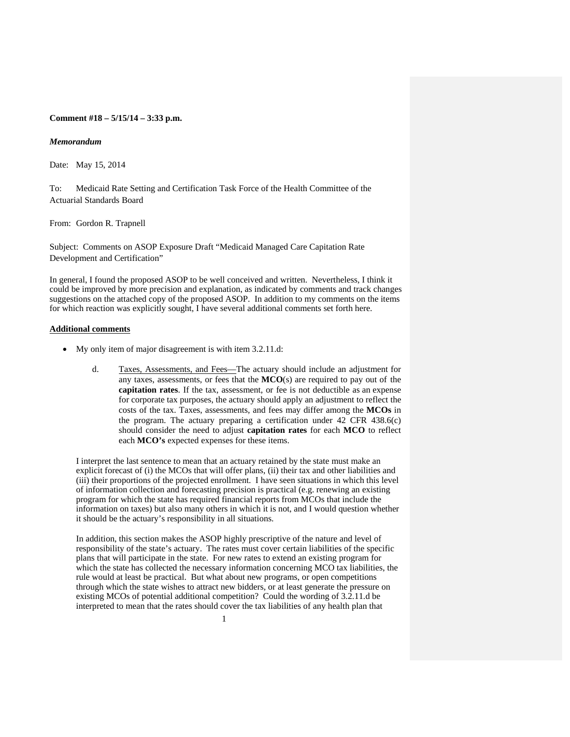## **Comment #18 – 5/15/14 – 3:33 p.m.**

#### *Memorandum*

Date: May 15, 2014

To: Medicaid Rate Setting and Certification Task Force of the Health Committee of the Actuarial Standards Board

From: Gordon R. Trapnell

Subject: Comments on ASOP Exposure Draft "Medicaid Managed Care Capitation Rate Development and Certification"

In general, I found the proposed ASOP to be well conceived and written. Nevertheless, I think it could be improved by more precision and explanation, as indicated by comments and track changes suggestions on the attached copy of the proposed ASOP. In addition to my comments on the items for which reaction was explicitly sought, I have several additional comments set forth here.

#### **Additional comments**

- My only item of major disagreement is with item 3.2.11.d:
	- d. Taxes, Assessments, and Fees—The actuary should include an adjustment for any taxes, assessments, or fees that the **MCO**(s) are required to pay out of the **capitation rates**. If the tax, assessment, or fee is not deductible as an expense for corporate tax purposes, the actuary should apply an adjustment to reflect the costs of the tax. Taxes, assessments, and fees may differ among the **MCOs** in the program. The actuary preparing a certification under 42 CFR 438.6(c) should consider the need to adjust **capitation rates** for each **MCO** to reflect each **MCO's** expected expenses for these items.

I interpret the last sentence to mean that an actuary retained by the state must make an explicit forecast of (i) the MCOs that will offer plans, (ii) their tax and other liabilities and (iii) their proportions of the projected enrollment. I have seen situations in which this level of information collection and forecasting precision is practical (e.g. renewing an existing program for which the state has required financial reports from MCOs that include the information on taxes) but also many others in which it is not, and I would question whether it should be the actuary's responsibility in all situations.

In addition, this section makes the ASOP highly prescriptive of the nature and level of responsibility of the state's actuary. The rates must cover certain liabilities of the specific plans that will participate in the state. For new rates to extend an existing program for which the state has collected the necessary information concerning MCO tax liabilities, the rule would at least be practical. But what about new programs, or open competitions through which the state wishes to attract new bidders, or at least generate the pressure on existing MCOs of potential additional competition? Could the wording of 3.2.11.d be interpreted to mean that the rates should cover the tax liabilities of any health plan that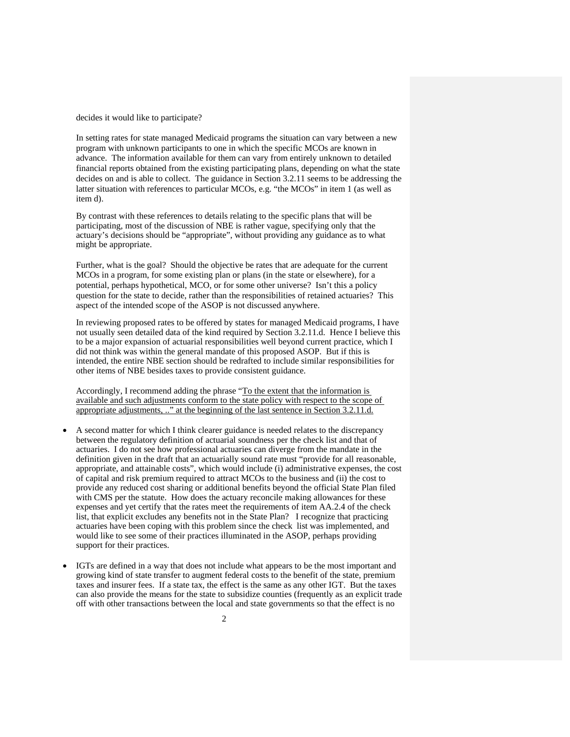decides it would like to participate?

In setting rates for state managed Medicaid programs the situation can vary between a new program with unknown participants to one in which the specific MCOs are known in advance. The information available for them can vary from entirely unknown to detailed financial reports obtained from the existing participating plans, depending on what the state decides on and is able to collect. The guidance in Section 3.2.11 seems to be addressing the latter situation with references to particular MCOs, e.g. "the MCOs" in item 1 (as well as item d).

By contrast with these references to details relating to the specific plans that will be participating, most of the discussion of NBE is rather vague, specifying only that the actuary's decisions should be "appropriate", without providing any guidance as to what might be appropriate.

Further, what is the goal? Should the objective be rates that are adequate for the current MCOs in a program, for some existing plan or plans (in the state or elsewhere), for a potential, perhaps hypothetical, MCO, or for some other universe? Isn't this a policy question for the state to decide, rather than the responsibilities of retained actuaries? This aspect of the intended scope of the ASOP is not discussed anywhere.

In reviewing proposed rates to be offered by states for managed Medicaid programs, I have not usually seen detailed data of the kind required by Section 3.2.11.d. Hence I believe this to be a major expansion of actuarial responsibilities well beyond current practice, which I did not think was within the general mandate of this proposed ASOP. But if this is intended, the entire NBE section should be redrafted to include similar responsibilities for other items of NBE besides taxes to provide consistent guidance.

Accordingly, I recommend adding the phrase "To the extent that the information is available and such adjustments conform to the state policy with respect to the scope of appropriate adjustments, .." at the beginning of the last sentence in Section 3.2.11.d.

- A second matter for which I think clearer guidance is needed relates to the discrepancy between the regulatory definition of actuarial soundness per the check list and that of actuaries. I do not see how professional actuaries can diverge from the mandate in the definition given in the draft that an actuarially sound rate must "provide for all reasonable, appropriate, and attainable costs", which would include (i) administrative expenses, the cost of capital and risk premium required to attract MCOs to the business and (ii) the cost to provide any reduced cost sharing or additional benefits beyond the official State Plan filed with CMS per the statute. How does the actuary reconcile making allowances for these expenses and yet certify that the rates meet the requirements of item AA.2.4 of the check list, that explicit excludes any benefits not in the State Plan? I recognize that practicing actuaries have been coping with this problem since the check list was implemented, and would like to see some of their practices illuminated in the ASOP, perhaps providing support for their practices.
- IGTs are defined in a way that does not include what appears to be the most important and growing kind of state transfer to augment federal costs to the benefit of the state, premium taxes and insurer fees. If a state tax, the effect is the same as any other IGT. But the taxes can also provide the means for the state to subsidize counties (frequently as an explicit trade off with other transactions between the local and state governments so that the effect is no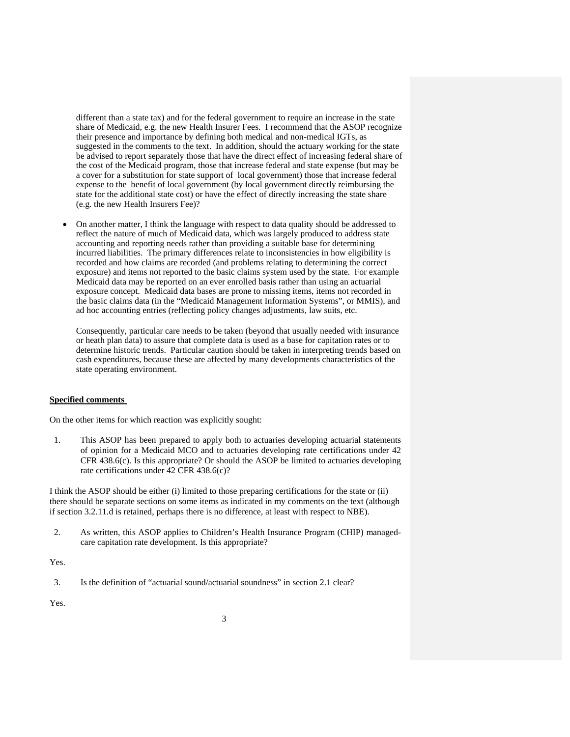different than a state tax) and for the federal government to require an increase in the state share of Medicaid, e.g. the new Health Insurer Fees. I recommend that the ASOP recognize their presence and importance by defining both medical and non-medical IGTs, as suggested in the comments to the text. In addition, should the actuary working for the state be advised to report separately those that have the direct effect of increasing federal share of the cost of the Medicaid program, those that increase federal and state expense (but may be a cover for a substitution for state support of local government) those that increase federal expense to the benefit of local government (by local government directly reimbursing the state for the additional state cost) or have the effect of directly increasing the state share (e.g. the new Health Insurers Fee)?

 On another matter, I think the language with respect to data quality should be addressed to reflect the nature of much of Medicaid data, which was largely produced to address state accounting and reporting needs rather than providing a suitable base for determining incurred liabilities. The primary differences relate to inconsistencies in how eligibility is recorded and how claims are recorded (and problems relating to determining the correct exposure) and items not reported to the basic claims system used by the state. For example Medicaid data may be reported on an ever enrolled basis rather than using an actuarial exposure concept. Medicaid data bases are prone to missing items, items not recorded in the basic claims data (in the "Medicaid Management Information Systems", or MMIS), and ad hoc accounting entries (reflecting policy changes adjustments, law suits, etc.

Consequently, particular care needs to be taken (beyond that usually needed with insurance or heath plan data) to assure that complete data is used as a base for capitation rates or to determine historic trends. Particular caution should be taken in interpreting trends based on cash expenditures, because these are affected by many developments characteristics of the state operating environment.

#### **Specified comments**

On the other items for which reaction was explicitly sought:

1. This ASOP has been prepared to apply both to actuaries developing actuarial statements of opinion for a Medicaid MCO and to actuaries developing rate certifications under 42 CFR 438.6(c). Is this appropriate? Or should the ASOP be limited to actuaries developing rate certifications under 42 CFR 438.6(c)?

I think the ASOP should be either (i) limited to those preparing certifications for the state or (ii) there should be separate sections on some items as indicated in my comments on the text (although if section 3.2.11.d is retained, perhaps there is no difference, at least with respect to NBE).

2. As written, this ASOP applies to Children's Health Insurance Program (CHIP) managedcare capitation rate development. Is this appropriate?

Yes.

3. Is the definition of "actuarial sound/actuarial soundness" in section 2.1 clear?

Yes.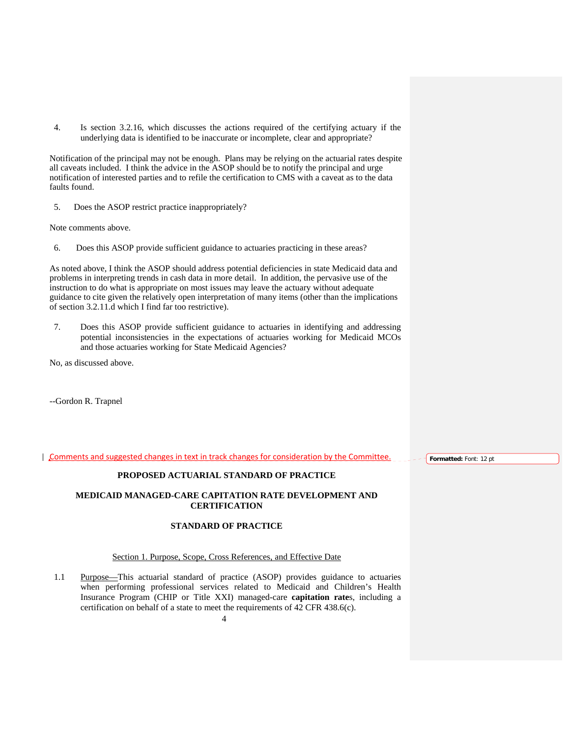4. Is section 3.2.16, which discusses the actions required of the certifying actuary if the underlying data is identified to be inaccurate or incomplete, clear and appropriate?

Notification of the principal may not be enough. Plans may be relying on the actuarial rates despite all caveats included. I think the advice in the ASOP should be to notify the principal and urge notification of interested parties and to refile the certification to CMS with a caveat as to the data faults found.

5. Does the ASOP restrict practice inappropriately?

Note comments above.

6. Does this ASOP provide sufficient guidance to actuaries practicing in these areas?

As noted above, I think the ASOP should address potential deficiencies in state Medicaid data and problems in interpreting trends in cash data in more detail. In addition, the pervasive use of the instruction to do what is appropriate on most issues may leave the actuary without adequate guidance to cite given the relatively open interpretation of many items (other than the implications of section 3.2.11.d which I find far too restrictive).

7. Does this ASOP provide sufficient guidance to actuaries in identifying and addressing potential inconsistencies in the expectations of actuaries working for Medicaid MCOs and those actuaries working for State Medicaid Agencies?

No, as discussed above.

--Gordon R. Trapnel

Comments and suggested changes in text in track changes for consideration by the Committee.

**Formatted:** Font: 12 pt

## **PROPOSED ACTUARIAL STANDARD OF PRACTICE**

## **MEDICAID MANAGED-CARE CAPITATION RATE DEVELOPMENT AND CERTIFICATION**

# **STANDARD OF PRACTICE**

## Section 1. Purpose, Scope, Cross References, and Effective Date

1.1 Purpose—This actuarial standard of practice (ASOP) provides guidance to actuaries when performing professional services related to Medicaid and Children's Health Insurance Program (CHIP or Title XXI) managed-care **capitation rate**s, including a certification on behalf of a state to meet the requirements of 42 CFR 438.6(c).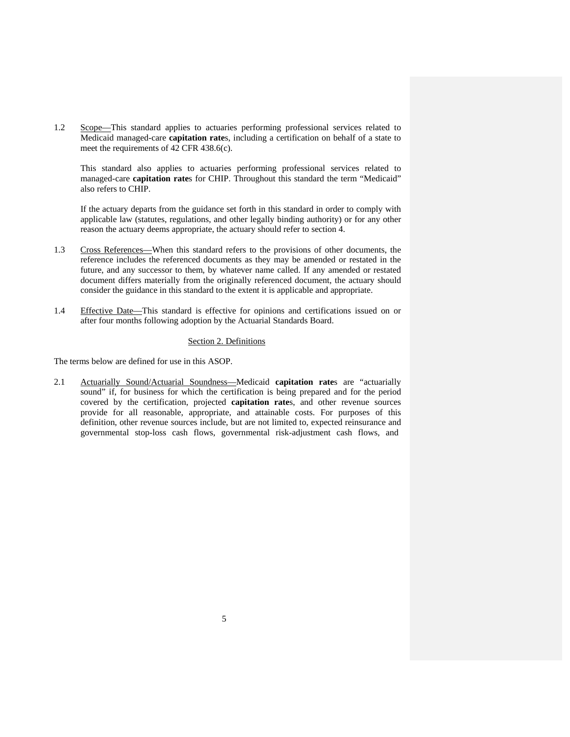1.2 Scope—This standard applies to actuaries performing professional services related to Medicaid managed-care **capitation rate**s, including a certification on behalf of a state to meet the requirements of 42 CFR 438.6(c).

This standard also applies to actuaries performing professional services related to managed-care **capitation rate**s for CHIP. Throughout this standard the term "Medicaid" also refers to CHIP.

If the actuary departs from the guidance set forth in this standard in order to comply with applicable law (statutes, regulations, and other legally binding authority) or for any other reason the actuary deems appropriate, the actuary should refer to section 4.

- 1.3 Cross References—When this standard refers to the provisions of other documents, the reference includes the referenced documents as they may be amended or restated in the future, and any successor to them, by whatever name called. If any amended or restated document differs materially from the originally referenced document, the actuary should consider the guidance in this standard to the extent it is applicable and appropriate.
- 1.4 Effective Date—This standard is effective for opinions and certifications issued on or after four months following adoption by the Actuarial Standards Board.

#### Section 2. Definitions

The terms below are defined for use in this ASOP.

2.1 Actuarially Sound/Actuarial Soundness—Medicaid **capitation rate**s are "actuarially sound" if, for business for which the certification is being prepared and for the period covered by the certification, projected **capitation rate**s, and other revenue sources provide for all reasonable, appropriate, and attainable costs. For purposes of this definition, other revenue sources include, but are not limited to, expected reinsurance and governmental stop-loss cash flows, governmental risk-adjustment cash flows, and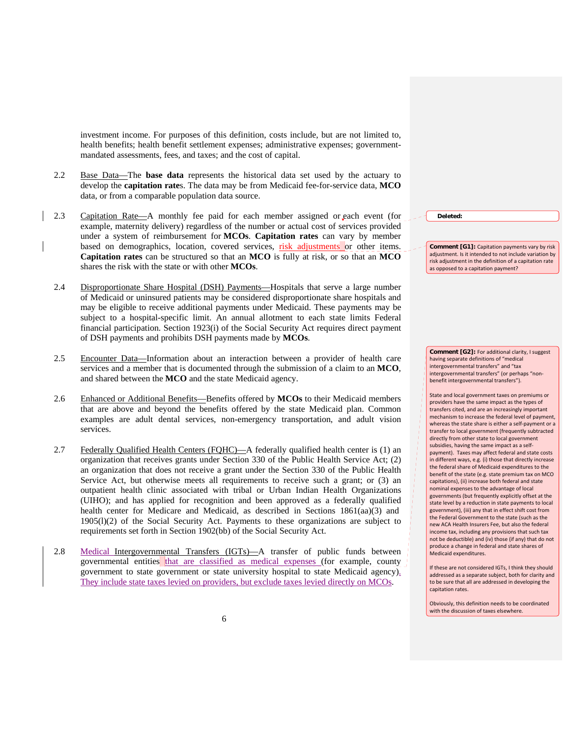investment income. For purposes of this definition, costs include, but are not limited to, health benefits; health benefit settlement expenses; administrative expenses; governmentmandated assessments, fees, and taxes; and the cost of capital.

- 2.2 Base Data—The **base data** represents the historical data set used by the actuary to develop the **capitation rate**s. The data may be from Medicaid fee-for-service data, **MCO**  data, or from a comparable population data source.
- 2.3 Capitation Rate—A monthly fee paid for each member assigned or each event (for example, maternity delivery) regardless of the number or actual cost of services provided under a system of reimbursement for **MCOs**. **Capitation rates** can vary by member based on demographics, location, covered services, risk adjustments or other items. **Capitation rates** can be structured so that an **MCO** is fully at risk, or so that an **MCO**  shares the risk with the state or with other **MCOs**.
- 2.4 Disproportionate Share Hospital (DSH) Payments—Hospitals that serve a large number of Medicaid or uninsured patients may be considered disproportionate share hospitals and may be eligible to receive additional payments under Medicaid. These payments may be subject to a hospital-specific limit. An annual allotment to each state limits Federal financial participation. Section 1923(i) of the Social Security Act requires direct payment of DSH payments and prohibits DSH payments made by **MCOs**.
- 2.5 Encounter Data—Information about an interaction between a provider of health care services and a member that is documented through the submission of a claim to an **MCO**, and shared between the **MCO** and the state Medicaid agency.
- 2.6 Enhanced or Additional Benefits—Benefits offered by **MCOs** to their Medicaid members that are above and beyond the benefits offered by the state Medicaid plan. Common examples are adult dental services, non-emergency transportation, and adult vision services.
- 2.7 Federally Qualified Health Centers (FQHC)—A federally qualified health center is (1) an organization that receives grants under Section 330 of the Public Health Service Act; (2) an organization that does not receive a grant under the Section 330 of the Public Health Service Act, but otherwise meets all requirements to receive such a grant; or  $(3)$  an outpatient health clinic associated with tribal or Urban Indian Health Organizations (UIHO); and has applied for recognition and been approved as a federally qualified health center for Medicare and Medicaid, as described in Sections 1861(aa)(3) and 1905(l)(2) of the Social Security Act. Payments to these organizations are subject to requirements set forth in Section 1902(bb) of the Social Security Act.
- 2.8 Medical Intergovernmental Transfers (IGTs)—A transfer of public funds between governmental entities that are classified as medical expenses (for example, county  $\frac{1}{2}$ ) government to state government or state university hospital to state Medicaid agency). They include state taxes levied on providers, but exclude taxes levied directly on MCOs.

**Deleted:** 

**Comment [G1]:** Capitation payments vary by risk adjustment. Is it intended to not include variation by risk adjustment in the definition of a capitation rate as opposed to a capitation payment?

**Comment [G2]:** For additional clarity, I suggest having separate definitions of "medical intergovernmental transfers" and "tax intergovernmental transfers" (or perhaps "non‐ benefit intergovernmental transfers").

State and local government taxes on premiums or providers have the same impact as the types of transfers cited, and are an increasingly important mechanism to increase the federal level of payment, whereas the state share is either a self-payment or a transfer to local government (frequently subtracted directly from other state to local government subsidies, having the same impact as a self‐ payment). Taxes may affect federal and state costs in different ways, e.g. (i) those that directly increase the federal share of Medicaid expenditures to the benefit of the state (e.g. state premium tax on MCO capitations), (ii) increase both federal and state nominal expenses to the advantage of local governments (but frequently explicitly offset at the state level by a reduction in state payments to local government), (iii) any that in effect shift cost from the Federal Government to the state (such as the new ACA Health Insurers Fee, but also the federal income tax, including any provisions that such tax not be deductible) and (iv) those (if any) that do not produce a change in federal and state shares of Medicaid expenditures.

If these are not considered IGTs, I think they should addressed as a separate subject, both for clarity and to be sure that all are addressed in developing the capitation rates.

Obviously, this definition needs to be coordinated with the discussion of taxes elsewhere.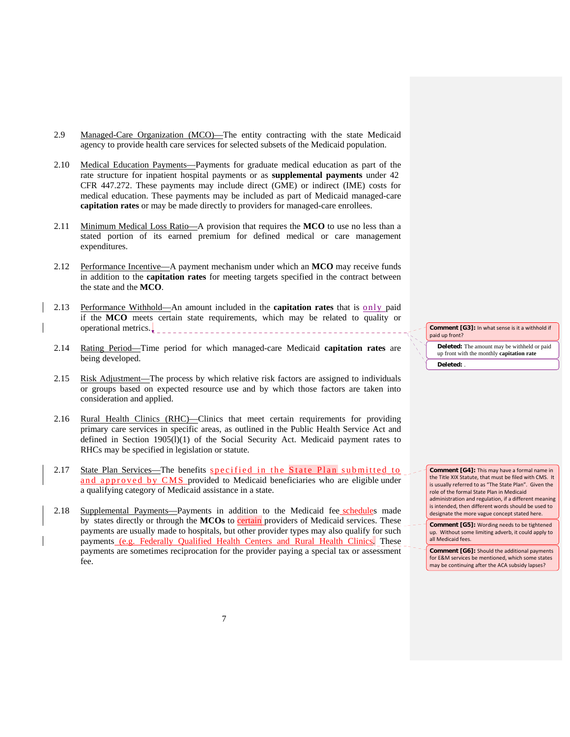- 2.9 Managed-Care Organization (MCO)—The entity contracting with the state Medicaid agency to provide health care services for selected subsets of the Medicaid population.
- 2.10 Medical Education Payments—Payments for graduate medical education as part of the rate structure for inpatient hospital payments or as **supplemental payments** under 42 CFR 447.272. These payments may include direct (GME) or indirect (IME) costs for medical education. These payments may be included as part of Medicaid managed-care **capitation rates** or may be made directly to providers for managed-care enrollees.
- 2.11 Minimum Medical Loss Ratio—A provision that requires the **MCO** to use no less than a stated portion of its earned premium for defined medical or care management expenditures.
- 2.12 Performance Incentive—A payment mechanism under which an **MCO** may receive funds in addition to the **capitation rates** for meeting targets specified in the contract between the state and the **MCO**.
- 2.13 Performance Withhold—An amount included in the **capitation rates** that is only paid if the **MCO** meets certain state requirements, which may be related to quality or operational metrics.
- 2.14 Rating Period—Time period for which managed-care Medicaid **capitation rates** are being developed.
- 2.15 Risk Adjustment—The process by which relative risk factors are assigned to individuals or groups based on expected resource use and by which those factors are taken into consideration and applied.
- 2.16 Rural Health Clinics (RHC)—Clinics that meet certain requirements for providing primary care services in specific areas, as outlined in the Public Health Service Act and defined in Section 1905(l)(1) of the Social Security Act. Medicaid payment rates to RHCs may be specified in legislation or statute.
- 2.17 State Plan Services—The benefits specified in the State Plan submitted to and approved by CMS provided to Medicaid beneficiaries who are eligible under a qualifying category of Medicaid assistance in a state.
- 2.18 Supplemental Payments—Payments in addition to the Medicaid fee schedules made by states directly or through the **MCOs** to **certain** providers of Medicaid services. These payments are usually made to hospitals, but other provider types may also qualify for such payments (e.g. Federally Qualified Health Centers and Rural Health Clinics. These payments are sometimes reciprocation for the provider paying a special tax or assessment fee.

**Deleted:** The amount may be withheld or paid up front with the monthly **capitation rate Comment [G3]:** In what sense is it a withhold if paid up front? **Deleted:** .

**Comment [G4]:** This may have a formal name in the Title XIX Statute, that must be filed with CMS. It is usually referred to as "The State Plan". Given the role of the formal State Plan in Medicaid administration and regulation, if a different meaning is intended, then different words should be used to designate the more vague concept stated here.

**Comment [G5]:** Wording needs to be tightened up. Without some limiting adverb, it could apply to all Medicaid fees.

**Comment [G6]:** Should the additional payments for E&M services be mentioned, which some states may be continuing after the ACA subsidy lapses?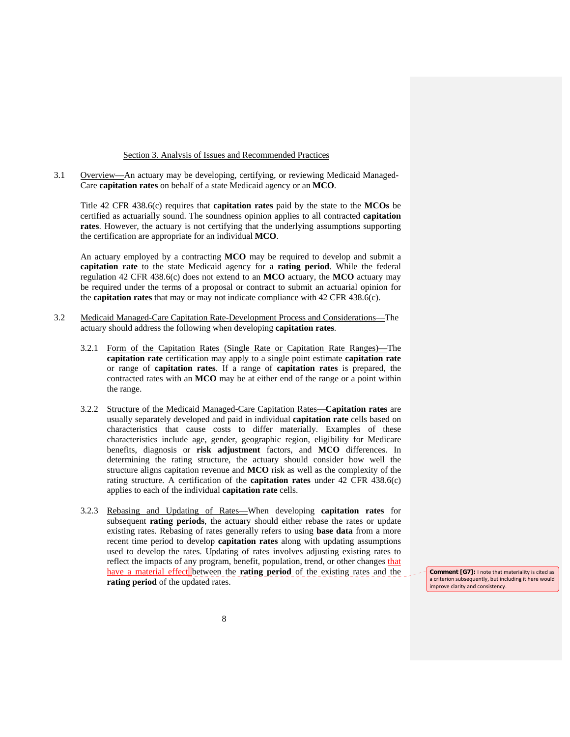### Section 3. Analysis of Issues and Recommended Practices

3.1 Overview—An actuary may be developing, certifying, or reviewing Medicaid Managed-Care **capitation rates** on behalf of a state Medicaid agency or an **MCO**.

Title 42 CFR 438.6(c) requires that **capitation rates** paid by the state to the **MCOs** be certified as actuarially sound. The soundness opinion applies to all contracted **capitation rates**. However, the actuary is not certifying that the underlying assumptions supporting the certification are appropriate for an individual **MCO**.

An actuary employed by a contracting **MCO** may be required to develop and submit a **capitation rate** to the state Medicaid agency for a **rating period**. While the federal regulation 42 CFR 438.6(c) does not extend to an **MCO** actuary, the **MCO** actuary may be required under the terms of a proposal or contract to submit an actuarial opinion for the **capitation rates** that may or may not indicate compliance with 42 CFR 438.6(c).

- 3.2 Medicaid Managed-Care Capitation Rate-Development Process and Considerations—The actuary should address the following when developing **capitation rates**.
	- 3.2.1 Form of the Capitation Rates (Single Rate or Capitation Rate Ranges)—The **capitation rate** certification may apply to a single point estimate **capitation rate**  or range of **capitation rates**. If a range of **capitation rates** is prepared, the contracted rates with an **MCO** may be at either end of the range or a point within the range.
	- 3.2.2 Structure of the Medicaid Managed-Care Capitation Rates—**Capitation rates** are usually separately developed and paid in individual **capitation rate** cells based on characteristics that cause costs to differ materially. Examples of these characteristics include age, gender, geographic region, eligibility for Medicare benefits, diagnosis or **risk adjustment** factors, and **MCO** differences. In determining the rating structure, the actuary should consider how well the structure aligns capitation revenue and **MCO** risk as well as the complexity of the rating structure. A certification of the **capitation rates** under 42 CFR 438.6(c) applies to each of the individual **capitation rate** cells.
	- 3.2.3 Rebasing and Updating of Rates—When developing **capitation rates** for subsequent **rating periods**, the actuary should either rebase the rates or update existing rates. Rebasing of rates generally refers to using **base data** from a more recent time period to develop **capitation rates** along with updating assumptions used to develop the rates. Updating of rates involves adjusting existing rates to reflect the impacts of any program, benefit, population, trend, or other changes that have a material effect between the **rating period** of the existing rates and the **rating period** of the updated rates.

**Comment [G7]:** I note that materiality is cited as a criterion subsequently, but including it here would improve clarity and consistency.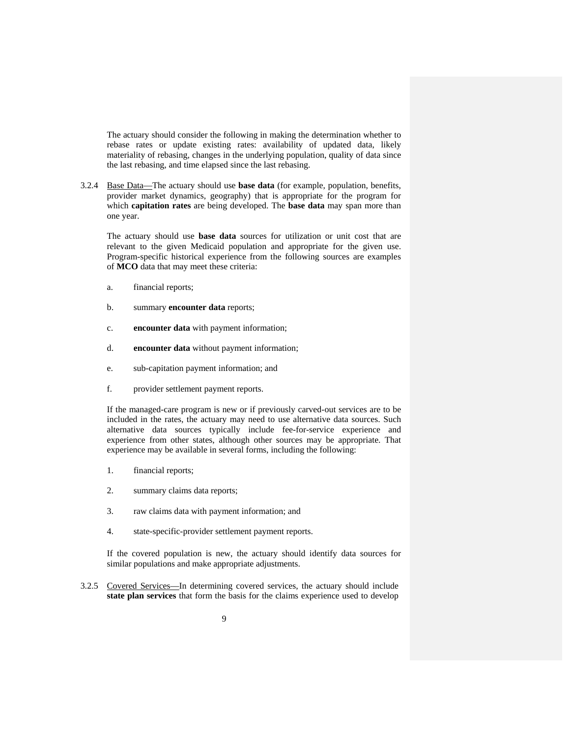The actuary should consider the following in making the determination whether to rebase rates or update existing rates: availability of updated data, likely materiality of rebasing, changes in the underlying population, quality of data since the last rebasing, and time elapsed since the last rebasing.

3.2.4 Base Data—The actuary should use **base data** (for example, population, benefits, provider market dynamics, geography) that is appropriate for the program for which **capitation rates** are being developed. The **base data** may span more than one year.

The actuary should use **base data** sources for utilization or unit cost that are relevant to the given Medicaid population and appropriate for the given use. Program-specific historical experience from the following sources are examples of **MCO** data that may meet these criteria:

- a. financial reports;
- b. summary **encounter data** reports;
- c. **encounter data** with payment information;
- d. **encounter data** without payment information;
- e. sub-capitation payment information; and
- f. provider settlement payment reports.

If the managed-care program is new or if previously carved-out services are to be included in the rates, the actuary may need to use alternative data sources. Such alternative data sources typically include fee-for-service experience and experience from other states, although other sources may be appropriate. That experience may be available in several forms, including the following:

- 1. financial reports;
- 2. summary claims data reports;
- 3. raw claims data with payment information; and
- 4. state-specific-provider settlement payment reports.

If the covered population is new, the actuary should identify data sources for similar populations and make appropriate adjustments.

3.2.5 Covered Services—In determining covered services, the actuary should include **state plan services** that form the basis for the claims experience used to develop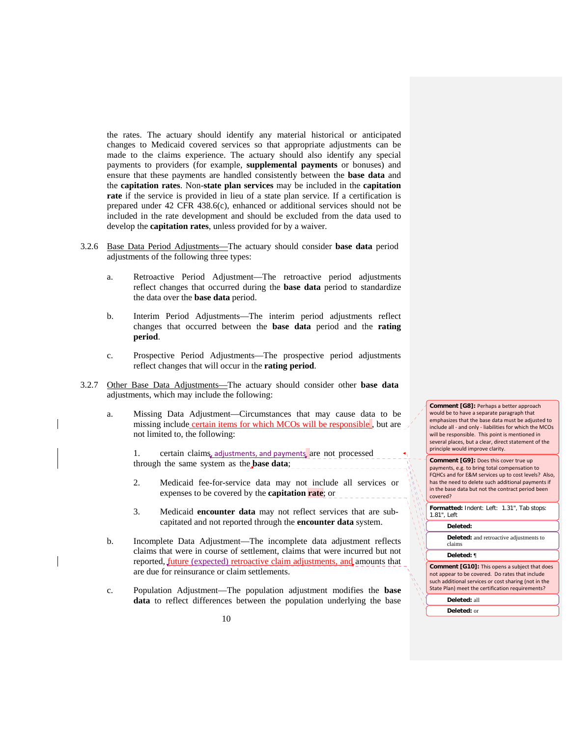the rates. The actuary should identify any material historical or anticipated changes to Medicaid covered services so that appropriate adjustments can be made to the claims experience. The actuary should also identify any special payments to providers (for example, **supplemental payments** or bonuses) and ensure that these payments are handled consistently between the **base data** and the **capitation rates**. Non-**state plan services** may be included in the **capitation rate** if the service is provided in lieu of a state plan service. If a certification is prepared under 42 CFR 438.6(c), enhanced or additional services should not be included in the rate development and should be excluded from the data used to develop the **capitation rates**, unless provided for by a waiver.

- 3.2.6 Base Data Period Adjustments—The actuary should consider **base data** period adjustments of the following three types:
	- a. Retroactive Period Adjustment—The retroactive period adjustments reflect changes that occurred during the **base data** period to standardize the data over the **base data** period.
	- b. Interim Period Adjustments—The interim period adjustments reflect changes that occurred between the **base data** period and the **rating period**.
	- c. Prospective Period Adjustments—The prospective period adjustments reflect changes that will occur in the **rating period**.
- 3.2.7 Other Base Data Adjustments—The actuary should consider other **base data** adjustments, which may include the following:
	- a. Missing Data Adjustment—Circumstances that may cause data to be missing include certain items for which MCOs will be responsible, but are not limited to, the following:

1. certain claims, adjustments, and payments are not processed through the same system as the **base data**;

- 2. Medicaid fee-for-service data may not include all services or expenses to be covered by the **capitation rate**; or
- 3. Medicaid **encounter data** may not reflect services that are subcapitated and not reported through the **encounter data** system.
- b. Incomplete Data Adjustment—The incomplete data adjustment reflects claims that were in course of settlement, claims that were incurred but not reported, future (expected) retroactive claim adjustments, and amounts that are due for reinsurance or claim settlements.
- c. Population Adjustment—The population adjustment modifies the **base data** to reflect differences between the population underlying the base

**Comment [G8]:** Perhaps a better approach would be to have a separate paragraph that emphasizes that the base data must be adjusted to include all ‐ and only ‐ liabilities for which the MCOs will be responsible. This point is mentioned in several places, but a clear, direct statement of the principle would improve clarity.

| <b>Comment [G9]: Does this cover true up</b>        |  |
|-----------------------------------------------------|--|
| payments, e.g. to bring total compensation to       |  |
| FQHCs and for E&M services up to cost levels? Also, |  |
| has the need to delete such additional payments if  |  |
| in the base data but not the contract period been   |  |
| covered?                                            |  |

| Formatted: Indent: Left: 1.31", Tab stops:<br>1.81", Left                                                                                                                                                           |
|---------------------------------------------------------------------------------------------------------------------------------------------------------------------------------------------------------------------|
| Deleted:                                                                                                                                                                                                            |
| <b>Deleted:</b> and retroactive adjustments to<br>claims                                                                                                                                                            |
| Deleted: ¶                                                                                                                                                                                                          |
| <b>Comment [G10]:</b> This opens a subject that does<br>not appear to be covered. Do rates that include<br>such additional services or cost sharing (not in the<br>State Plan) meet the certification requirements? |
| Deleted: all                                                                                                                                                                                                        |
| Deleted: or                                                                                                                                                                                                         |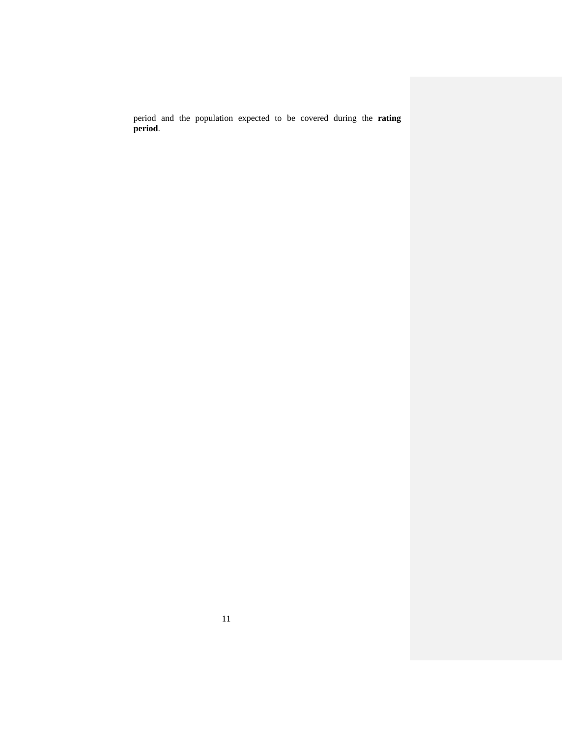period and the population expected to be covered during the **rating period**.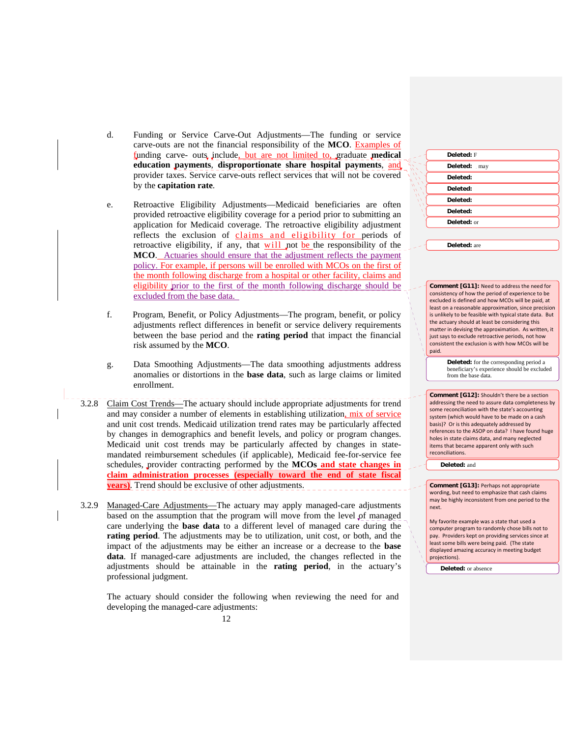- d. Funding or Service Carve-Out Adjustments—The funding or service carve-outs are not the financial responsibility of the **MCO**. Examples of funding carve- outs include, but are not limited to, graduate **medical education payments**, **disproportionate share hospital payments**, and provider taxes. Service carve-outs reflect services that will not be covered by the **capitation rate**.
- e. Retroactive Eligibility Adjustments—Medicaid beneficiaries are often provided retroactive eligibility coverage for a period prior to submitting an application for Medicaid coverage. The retroactive eligibility adjustment reflects the exclusion of claims and eligibility for periods of retroactive eligibility, if any, that  $will$  not be the responsibility of the</u> **MCO**. Actuaries should ensure that the adjustment reflects the payment policy. For example, if persons will be enrolled with MCOs on the first of the month following discharge from a hospital or other facility, claims and eligibility prior to the first of the month following discharge should be excluded from the base data.
- f. Program, Benefit, or Policy Adjustments—The program, benefit, or policy adjustments reflect differences in benefit or service delivery requirements between the base period and the **rating period** that impact the financial risk assumed by the **MCO**.
- g. Data Smoothing Adjustments—The data smoothing adjustments address anomalies or distortions in the **base data**, such as large claims or limited enrollment.
- 3.2.8 Claim Cost Trends—The actuary should include appropriate adjustments for trend and may consider a number of elements in establishing utilization, mix of service and unit cost trends. Medicaid utilization trend rates may be particularly affected by changes in demographics and benefit levels, and policy or program changes. Medicaid unit cost trends may be particularly affected by changes in statemandated reimbursement schedules (if applicable), Medicaid fee-for-service fee schedules, provider contracting performed by the **MCOs and state changes in claim administration processes (especially toward the end of state fiscal years)**. Trend should be exclusive of other adjustments.
- 3.2.9 Managed-Care Adjustments—The actuary may apply managed-care adjustments based on the assumption that the program will move from the level of managed care underlying the **base data** to a different level of managed care during the **rating period**. The adjustments may be to utilization, unit cost, or both, and the impact of the adjustments may be either an increase or a decrease to the **base data**. If managed-care adjustments are included, the changes reflected in the adjustments should be attainable in the **rating period**, in the actuary's professional judgment.

The actuary should consider the following when reviewing the need for and developing the managed-care adjustments:

| Deleted: F        |
|-------------------|
| Deleted: may      |
| Deleted:          |
| Deleted:          |
| Deleted:          |
| Deleted:          |
| Deleted: or       |
|                   |
| $D$ alatad: $are$ |

**Comment [G11]:** Need to address the need for consistency of how the period of experience to be excluded is defined and how MCOs will be paid, at least on a reasonable approximation, since precision is unlikely to be feasible with typical state data. But the actuary should at least be considering this matter in devising the approximation. As written, it just says to exclude retroactive periods, not how consistent the exclusion is with how MCOs will be paid.

> **Deleted:** for the corresponding period a beneficiary's experience should be excluded from the base data.

**Comment [G12]:** Shouldn't there be a section addressing the need to assure data completeness by some reconciliation with the state's accounting system (which would have to be made on a cash basis)? Or is this adequately addressed by references to the ASOP on data? I have found huge holes in state claims data, and many neglected items that became apparent only with such reconciliations.

**Deleted:** and

**Comment [G13]:** Perhaps not appropriate wording, but need to emphasize that cash claims may be highly inconsistent from one period to the next.

My favorite example was a state that used a computer program to randomly chose bills not to pay. Providers kept on providing services since at least some bills were being paid. (The state displayed amazing accuracy in meeting budget projections).

**Deleted:** or absence

12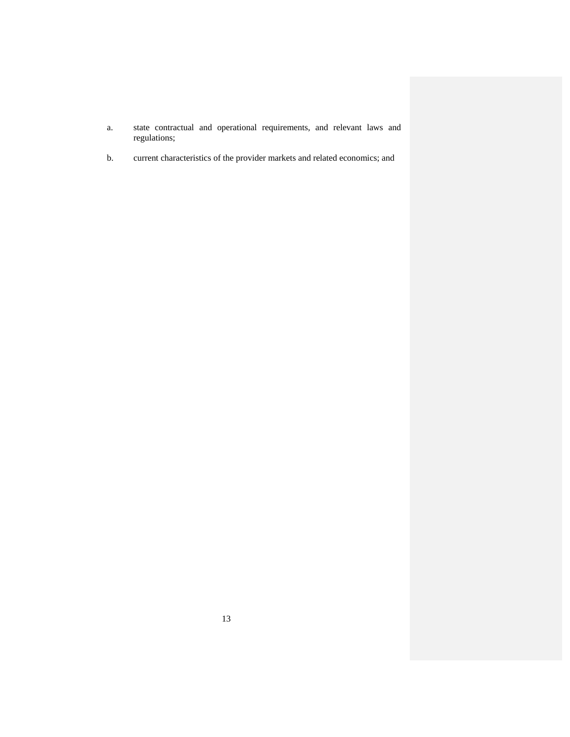- a. state contractual and operational requirements, and relevant laws and regulations;
- b. current characteristics of the provider markets and related economics; and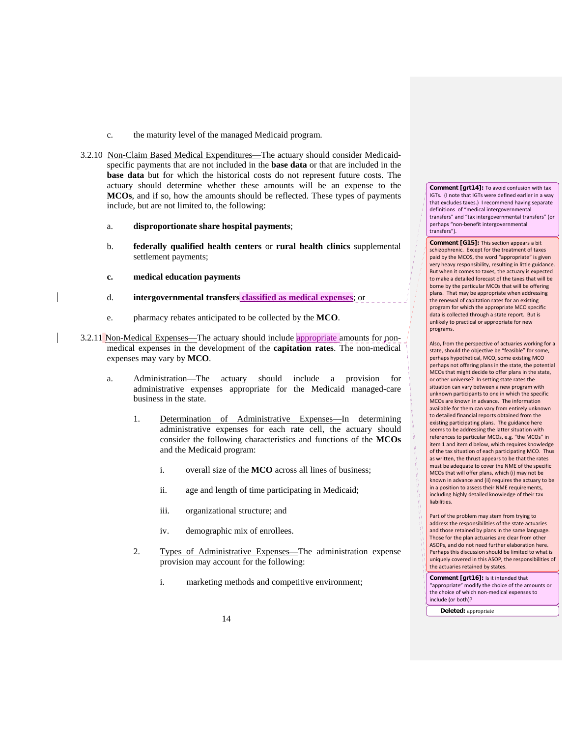- c. the maturity level of the managed Medicaid program.
- 3.2.10 Non-Claim Based Medical Expenditures—The actuary should consider Medicaidspecific payments that are not included in the **base data** or that are included in the **base data** but for which the historical costs do not represent future costs. The actuary should determine whether these amounts will be an expense to the **MCOs**, and if so, how the amounts should be reflected. These types of payments include, but are not limited to, the following:
	- a. **disproportionate share hospital payments**;
	- b. **federally qualified health centers** or **rural health clinics** supplemental settlement payments;
	- **c. medical education payments**
	- d. **intergovernmental transfers classified as medical expenses**; or
	- e. pharmacy rebates anticipated to be collected by the **MCO**.
- 3.2.11 Non-Medical Expenses—The actuary should include appropriate amounts for nonmedical expenses in the development of the **capitation rates**. The non-medical expenses may vary by **MCO**.
	- a. Administration—The actuary should include a provision for administrative expenses appropriate for the Medicaid managed-care business in the state.
		- 1. Determination of Administrative Expenses—In determining administrative expenses for each rate cell, the actuary should consider the following characteristics and functions of the **MCOs**  and the Medicaid program:
			- i. overall size of the **MCO** across all lines of business;
			- ii. age and length of time participating in Medicaid;
			- iii. organizational structure; and
			- iv. demographic mix of enrollees.
		- 2. Types of Administrative Expenses—The administration expense provision may account for the following:
			- i. marketing methods and competitive environment;

**Comment [grt14]:** To avoid confusion with tax IGTs. (I note that IGTs were defined earlier in a way that excludes taxes.) I recommend having separate definitions of "medical intergovernmental transfers" and "tax intergovernmental transfers" (or perhaps "non‐benefit intergovernmental transfers").

**Comment [G15]:** This section appears a bit schizophrenic. Except for the treatment of taxes paid by the MCOS, the word "appropriate" is given very heavy responsibility, resulting in little guidance. But when it comes to taxes, the actuary is expected to make a detailed forecast of the taxes that will be borne by the particular MCOs that will be offering plans. That may be appropriate when addressing the renewal of capitation rates for an existing program for which the appropriate MCO specific data is collected through a state report. But is unlikely to practical or appropriate for new programs.

Also, from the perspective of actuaries working for a state, should the objective be "feasible" for some, perhaps hypothetical, MCO, some existing MCO perhaps not offering plans in the state, the potential MCOs that might decide to offer plans in the state, or other universe? In setting state rates the situation can vary between a new program with unknown participants to one in which the specific MCOs are known in advance. The information available for them can vary from entirely unknown to detailed financial reports obtained from the existing participating plans. The guidance here seems to be addressing the latter situation with references to particular MCOs, e.g. "the MCOs" in item 1 and item d below, which requires knowledge of the tax situation of each participating MCO. Thus as written, the thrust appears to be that the rates must be adequate to cover the NME of the specific MCOs that will offer plans, which (i) may not be known in advance and (ii) requires the actuary to be in a position to assess their NME requirements, including highly detailed knowledge of their tax liabilities.

Part of the problem may stem from trying to address the responsibilities of the state actuaries and those retained by plans in the same language. Those for the plan actuaries are clear from other ASOPs, and do not need further elaboration here. Perhaps this discussion should be limited to what is uniquely covered in this ASOP, the responsibilities of the actuaries retained by states.

**Comment [grt16]:** Is it intended that "appropriate" modify the choice of the amounts or the choice of which non‐medical expenses to include (or both)?

**Deleted:** appropriate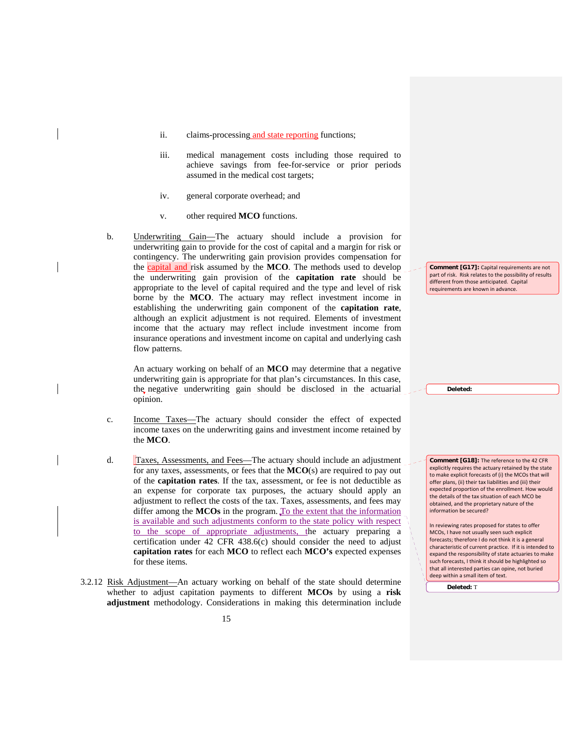- ii. claims-processing and state reporting functions;
- iii. medical management costs including those required to achieve savings from fee-for-service or prior periods assumed in the medical cost targets;
- iv. general corporate overhead; and
- v. other required **MCO** functions.
- b. Underwriting Gain—The actuary should include a provision for underwriting gain to provide for the cost of capital and a margin for risk or contingency. The underwriting gain provision provides compensation for the capital and risk assumed by the **MCO**. The methods used to develop the underwriting gain provision of the **capitation rate** should be appropriate to the level of capital required and the type and level of risk borne by the **MCO**. The actuary may reflect investment income in establishing the underwriting gain component of the **capitation rate**, although an explicit adjustment is not required. Elements of investment income that the actuary may reflect include investment income from insurance operations and investment income on capital and underlying cash flow patterns.

An actuary working on behalf of an **MCO** may determine that a negative underwriting gain is appropriate for that plan's circumstances. In this case, the negative underwriting gain should be disclosed in the actuarial opinion.

- c. Income Taxes—The actuary should consider the effect of expected income taxes on the underwriting gains and investment income retained by the **MCO**.
- d. Taxes, Assessments, and Fees—The actuary should include an adjustment for any taxes, assessments, or fees that the **MCO**(s) are required to pay out of the **capitation rates**. If the tax, assessment, or fee is not deductible as an expense for corporate tax purposes, the actuary should apply an adjustment to reflect the costs of the tax. Taxes, assessments, and fees may differ among the MCOs in the program. To the extent that the information is available and such adjustments conform to the state policy with respect to the scope of appropriate adjustments, the actuary preparing a certification under 42 CFR 438.6(c) should consider the need to adjust **capitation rates** for each **MCO** to reflect each **MCO's** expected expenses for these items.
- 3.2.12 Risk Adjustment—An actuary working on behalf of the state should determine whether to adjust capitation payments to different **MCOs** by using a **risk adjustment** methodology. Considerations in making this determination include

**Comment [G17]:** Capital requirements are not part of risk. Risk relates to the possibility of results different from those anticipated. Capital requirements are known in advance.

**Comment [G18]:** The reference to the 42 CFR explicitly requires the actuary retained by the state to make explicit forecasts of (i) the MCOs that will offer plans, (ii) their tax liabilities and (iii) their expected proportion of the enrollment. How would the details of the tax situation of each MCO be obtained, and the proprietary nature of the information be secured?

In reviewing rates proposed for states to offer MCOs, I have not usually seen such explicit forecasts; therefore I do not think it is a general characteristic of current practice. If it is intended to expand the responsibility of state actuaries to make such forecasts, I think it should be highlighted so that all interested parties can opine, not buried deep within a small item of text.

**Deleted:** T

**Deleted:**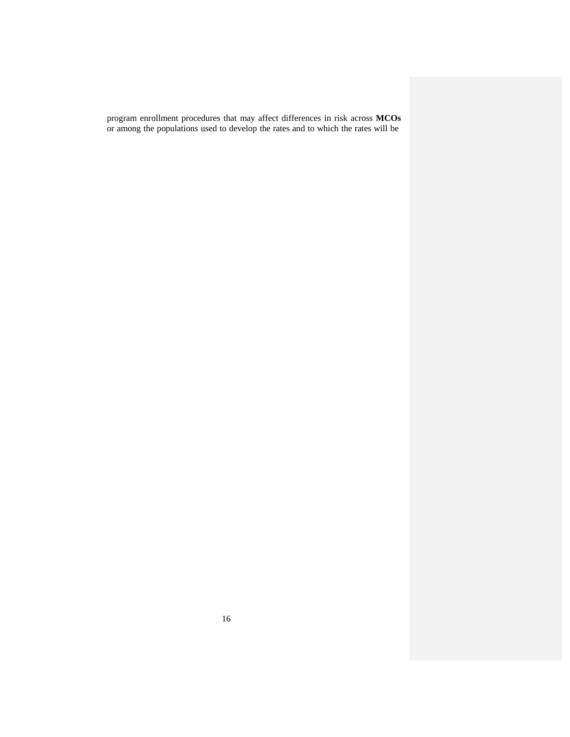program enrollment procedures that may affect differences in risk across **MCOs**  or among the populations used to develop the rates and to which the rates will be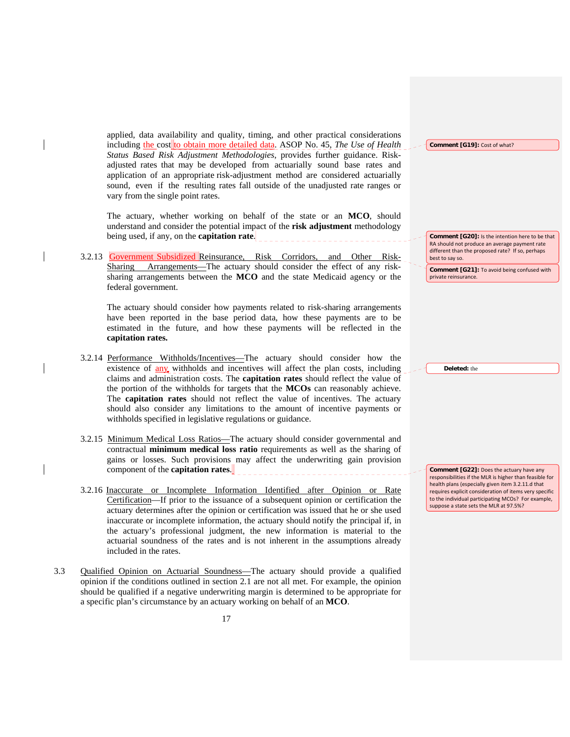applied, data availability and quality, timing, and other practical considerations including the cost to obtain more detailed data. ASOP No. 45, *The Use of Health Status Based Risk Adjustment Methodologies*, provides further guidance. Riskadjusted rates that may be developed from actuarially sound base rates and application of an appropriate risk-adjustment method are considered actuarially sound, even if the resulting rates fall outside of the unadjusted rate ranges or vary from the single point rates.

The actuary, whether working on behalf of the state or an **MCO**, should understand and consider the potential impact of the **risk adjustment** methodology being used, if any, on the **capitation rate**.

3.2.13 Government Subsidized Reinsurance, Risk Corridors, and Other Risk-Sharing Arrangements—The actuary should consider the effect of any risksharing arrangements between the **MCO** and the state Medicaid agency or the federal government.

The actuary should consider how payments related to risk-sharing arrangements have been reported in the base period data, how these payments are to be estimated in the future, and how these payments will be reflected in the **capitation rates.**

- 3.2.14 Performance Withholds/Incentives—The actuary should consider how the existence of any withholds and incentives will affect the plan costs, including claims and administration costs. The **capitation rates** should reflect the value of the portion of the withholds for targets that the **MCOs** can reasonably achieve. The **capitation rates** should not reflect the value of incentives. The actuary should also consider any limitations to the amount of incentive payments or withholds specified in legislative regulations or guidance.
- 3.2.15 Minimum Medical Loss Ratios—The actuary should consider governmental and contractual **minimum medical loss ratio** requirements as well as the sharing of gains or losses. Such provisions may affect the underwriting gain provision component of the **capitation rates**. \_\_\_\_\_\_\_\_\_\_\_\_\_\_\_\_\_\_\_\_\_\_\_\_\_\_\_\_\_
- 3.2.16 Inaccurate or Incomplete Information Identified after Opinion or Rate Certification—If prior to the issuance of a subsequent opinion or certification the actuary determines after the opinion or certification was issued that he or she used inaccurate or incomplete information, the actuary should notify the principal if, in the actuary's professional judgment, the new information is material to the actuarial soundness of the rates and is not inherent in the assumptions already included in the rates.
- 3.3 Qualified Opinion on Actuarial Soundness—The actuary should provide a qualified opinion if the conditions outlined in section 2.1 are not all met. For example, the opinion should be qualified if a negative underwriting margin is determined to be appropriate for a specific plan's circumstance by an actuary working on behalf of an **MCO**.

**Comment [G19]:** Cost of what?

**Comment [G20]:** Is the intention here to be that RA should not produce an average payment rate different than the proposed rate? If so, perhaps best to say so.

**Comment [G21]:** To avoid being confused with private reinsurance.

**Deleted:** the

**Comment [G22]:** Does the actuary have any responsibilities if the MLR is higher than feasible for health plans (especially given item 3.2.11.d that requires explicit consideration of items very specific to the individual participating MCOs? For example, suppose a state sets the MLR at 97.5%?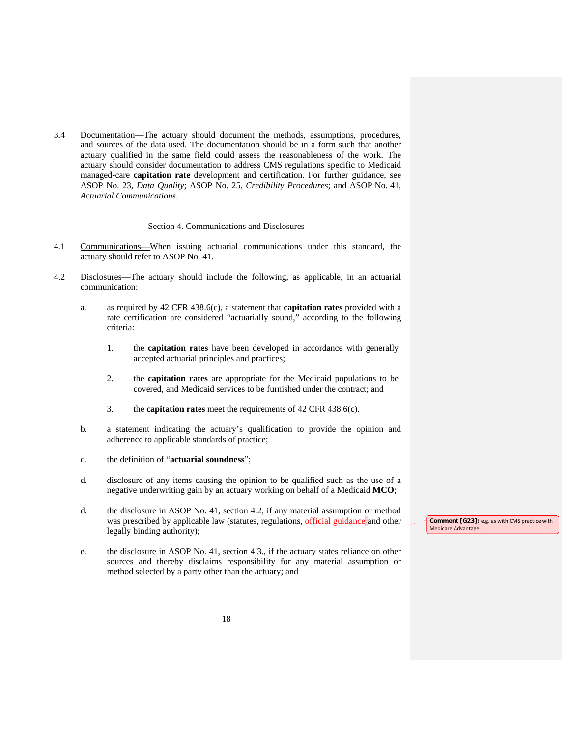3.4 Documentation—The actuary should document the methods, assumptions, procedures, and sources of the data used. The documentation should be in a form such that another actuary qualified in the same field could assess the reasonableness of the work. The actuary should consider documentation to address CMS regulations specific to Medicaid managed-care **capitation rate** development and certification. For further guidance, see ASOP No. 23, *Data Quality*; ASOP No. 25, *Credibility Procedures*; and ASOP No. 41, *Actuarial Communications.*

## Section 4. Communications and Disclosures

- 4.1 Communications—When issuing actuarial communications under this standard, the actuary should refer to ASOP No. 41.
- 4.2 Disclosures—The actuary should include the following, as applicable, in an actuarial communication:
	- a. as required by 42 CFR 438.6(c), a statement that **capitation rates** provided with a rate certification are considered "actuarially sound," according to the following criteria:
		- 1. the **capitation rates** have been developed in accordance with generally accepted actuarial principles and practices;
		- 2. the **capitation rates** are appropriate for the Medicaid populations to be covered, and Medicaid services to be furnished under the contract; and
		- 3. the **capitation rates** meet the requirements of 42 CFR 438.6(c).
	- b. a statement indicating the actuary's qualification to provide the opinion and adherence to applicable standards of practice;
	- c. the definition of "**actuarial soundness**";
	- d. disclosure of any items causing the opinion to be qualified such as the use of a negative underwriting gain by an actuary working on behalf of a Medicaid **MCO**;
	- d. the disclosure in ASOP No. 41, section 4.2, if any material assumption or method was prescribed by applicable law (statutes, regulations, official guidance and other legally binding authority);
	- e. the disclosure in ASOP No. 41, section 4.3., if the actuary states reliance on other sources and thereby disclaims responsibility for any material assumption or method selected by a party other than the actuary; and

**Comment [G23]:** e.g. as with CMS practice with Medicare Advantage.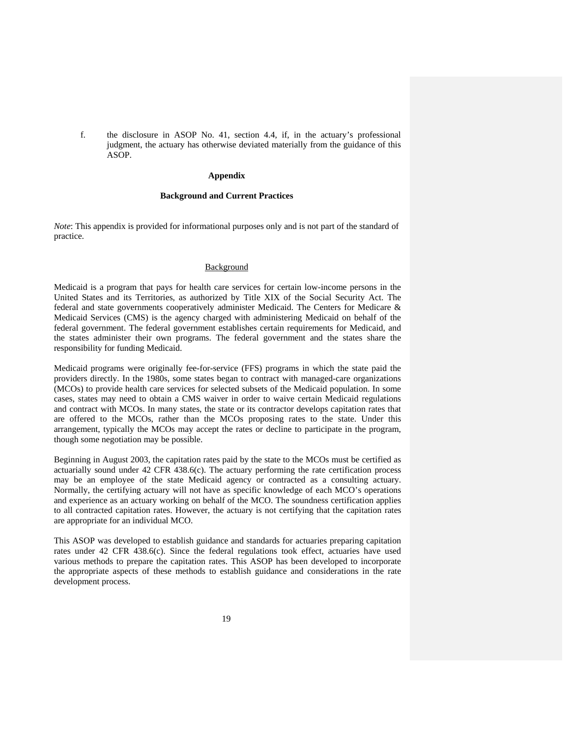f. the disclosure in ASOP No. 41, section 4.4, if, in the actuary's professional judgment, the actuary has otherwise deviated materially from the guidance of this ASOP.

#### **Appendix**

#### **Background and Current Practices**

*Note*: This appendix is provided for informational purposes only and is not part of the standard of practice.

# Background

Medicaid is a program that pays for health care services for certain low-income persons in the United States and its Territories, as authorized by Title XIX of the Social Security Act. The federal and state governments cooperatively administer Medicaid. The Centers for Medicare & Medicaid Services (CMS) is the agency charged with administering Medicaid on behalf of the federal government. The federal government establishes certain requirements for Medicaid, and the states administer their own programs. The federal government and the states share the responsibility for funding Medicaid.

Medicaid programs were originally fee-for-service (FFS) programs in which the state paid the providers directly. In the 1980s, some states began to contract with managed-care organizations (MCOs) to provide health care services for selected subsets of the Medicaid population. In some cases, states may need to obtain a CMS waiver in order to waive certain Medicaid regulations and contract with MCOs. In many states, the state or its contractor develops capitation rates that are offered to the MCOs, rather than the MCOs proposing rates to the state. Under this arrangement, typically the MCOs may accept the rates or decline to participate in the program, though some negotiation may be possible.

Beginning in August 2003, the capitation rates paid by the state to the MCOs must be certified as actuarially sound under 42 CFR 438.6(c). The actuary performing the rate certification process may be an employee of the state Medicaid agency or contracted as a consulting actuary. Normally, the certifying actuary will not have as specific knowledge of each MCO's operations and experience as an actuary working on behalf of the MCO. The soundness certification applies to all contracted capitation rates. However, the actuary is not certifying that the capitation rates are appropriate for an individual MCO.

This ASOP was developed to establish guidance and standards for actuaries preparing capitation rates under 42 CFR 438.6(c). Since the federal regulations took effect, actuaries have used various methods to prepare the capitation rates. This ASOP has been developed to incorporate the appropriate aspects of these methods to establish guidance and considerations in the rate development process.